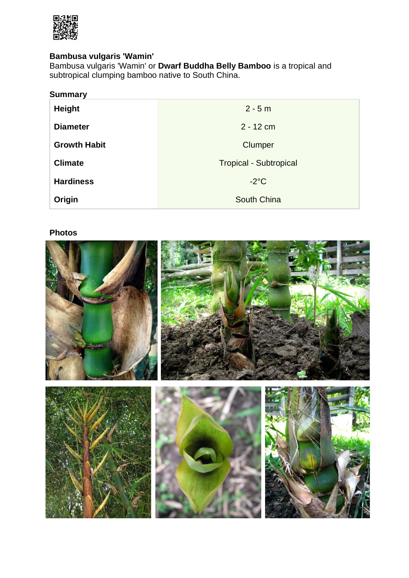

### **Bambusa vulgaris 'Wamin'**

Bambusa vulgaris 'Wamin' or **Dwarf Buddha Belly Bamboo** is a tropical and subtropical clumping bamboo native to South China.

| <b>Summary</b>      |                               |
|---------------------|-------------------------------|
| <b>Height</b>       | $2 - 5m$                      |
| <b>Diameter</b>     | $2 - 12$ cm                   |
| <b>Growth Habit</b> | Clumper                       |
| <b>Climate</b>      | <b>Tropical - Subtropical</b> |
| <b>Hardiness</b>    | $-2$ °C                       |
| Origin              | South China                   |

### **Photos**

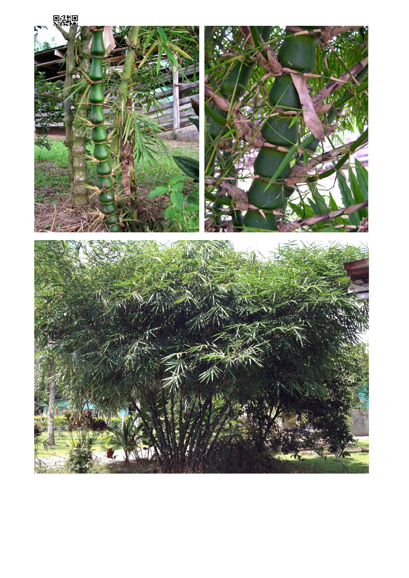